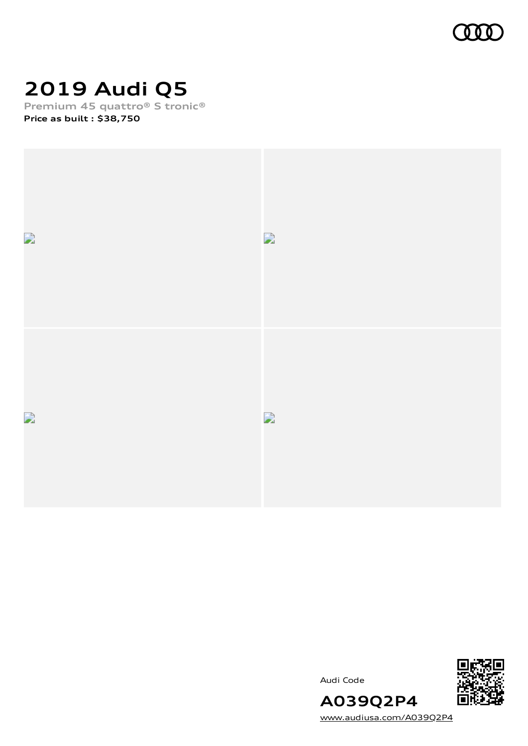

## **2019 Audi Q5**

**Premium 45 quattro® S tronic® Price as built [:](#page-10-0) \$38,750**







[www.audiusa.com/A039Q2P4](https://www.audiusa.com/A039Q2P4)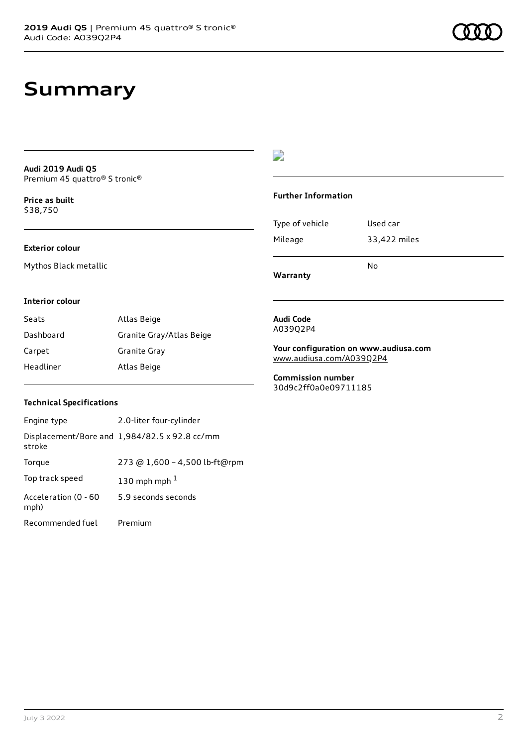### **Summary**

**Audi 2019 Audi Q5** Premium 45 quattro® S tronic®

**Price as buil[t](#page-10-0)** \$38,750

#### **Exterior colour**

Mythos Black metallic

### $\overline{\phantom{a}}$

#### **Further Information**

|                 | N٥           |
|-----------------|--------------|
| Mileage         | 33,422 miles |
| Type of vehicle | Used car     |

**Warranty**

#### **Interior colour**

| Seats     | Atlas Beige              |
|-----------|--------------------------|
| Dashboard | Granite Gray/Atlas Beige |
| Carpet    | Granite Gray             |
| Headliner | Atlas Beige              |

#### **Audi Code** A039Q2P4

**Your configuration on www.audiusa.com** [www.audiusa.com/A039Q2P4](https://www.audiusa.com/A039Q2P4)

**Commission number** 30d9c2ff0a0e09711185

#### **Technical Specifications**

| Engine type                  | 2.0-liter four-cylinder                       |
|------------------------------|-----------------------------------------------|
| stroke                       | Displacement/Bore and 1,984/82.5 x 92.8 cc/mm |
| Torque                       | 273 @ 1,600 - 4,500 lb-ft@rpm                 |
| Top track speed              | 130 mph mph $1$                               |
| Acceleration (0 - 60<br>mph) | 5.9 seconds seconds                           |
| Recommended fuel             | Premium                                       |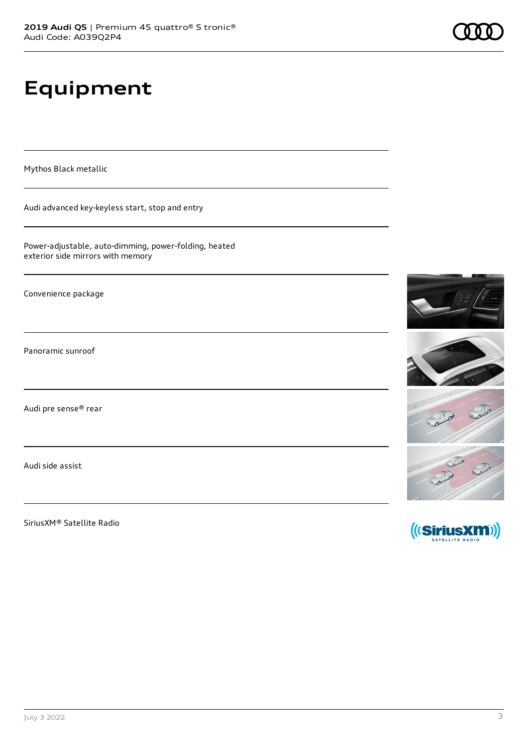# **Equipment**

Mythos Black metallic

Audi advanced key-keyless start, stop and entry

Power-adjustable, auto-dimming, power-folding, heated exterior side mirrors with memory

Convenience package

Panoramic sunroof

Audi pre sense® rear

Audi side assist

SiriusXM® Satellite Radio

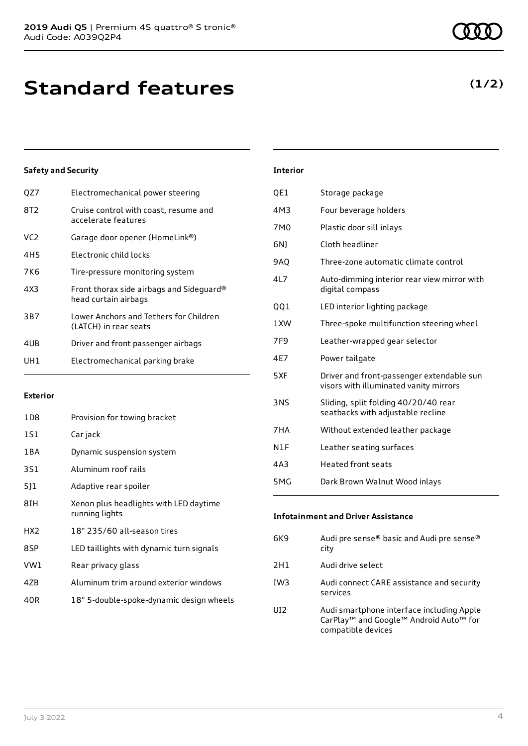| QZ7             | Electromechanical power steering                                 |
|-----------------|------------------------------------------------------------------|
| 8T2             | Cruise control with coast, resume and<br>accelerate features     |
| VC <sub>2</sub> | Garage door opener (HomeLink®)                                   |
| 4H5             | Electronic child locks                                           |
| 7K6             | Tire-pressure monitoring system                                  |
| 4X3             | Front thorax side airbags and Sideguard®<br>head curtain airbags |
| 3B7             | Lower Anchors and Tethers for Children<br>(LATCH) in rear seats  |
| 4UB             | Driver and front passenger airbags                               |
| UH1             | Electromechanical parking brake                                  |
|                 |                                                                  |

#### **Exterior**

| 1D8   | Provision for towing bracket                             |
|-------|----------------------------------------------------------|
| 1S1   | Car jack                                                 |
| 1 B A | Dynamic suspension system                                |
| 3S1   | Aluminum roof rails                                      |
| 511   | Adaptive rear spoiler                                    |
| 8IH   | Xenon plus headlights with LED daytime<br>running lights |
| HX2   | 18" 235/60 all-season tires                              |
| 8SP   | LED taillights with dynamic turn signals                 |
| VW1   | Rear privacy glass                                       |
| 4ZB   | Aluminum trim around exterior windows                    |
| 40R   | 18" 5-double-spoke-dynamic design wheels                 |

### **Interior** QE1 Storage package 4M3 Four beverage holders 7M0 Plastic door sill inlays 6NJ Cloth headliner 9AQ Three-zone automatic climate control 4L7 Auto-dimming interior rear view mirror with digital compass QQ1 LED interior lighting package 1XW Three-spoke multifunction steering wheel 7F9 Leather-wrapped gear selector 4E7 Power tailgate 5XF Driver and front-passenger extendable sun visors with illuminated vanity mirrors 3NS Sliding, split folding 40/20/40 rear seatbacks with adjustable recline 7HA Without extended leather package N1F Leather seating surfaces

4A3 Heated front seats

5MG Dark Brown Walnut Wood inlays

### **Infotainment and Driver Assistance**

| 6K9 | Audi pre sense® basic and Audi pre sense®<br>city                                                                                             |
|-----|-----------------------------------------------------------------------------------------------------------------------------------------------|
| 2H1 | Audi drive select                                                                                                                             |
| IW3 | Audi connect CARE assistance and security<br>services                                                                                         |
| UI2 | Audi smartphone interface including Apple<br>CarPlay <sup>™</sup> and Google <sup>™</sup> Android Auto <sup>™</sup> for<br>compatible devices |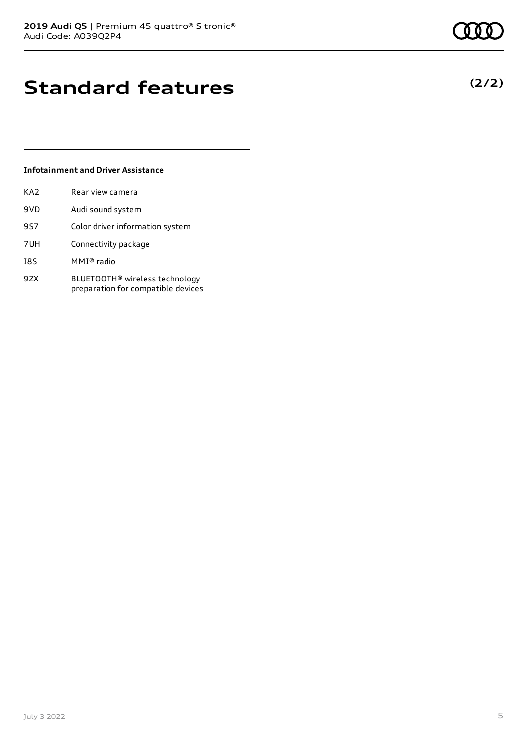## **Standard features**

### **Infotainment and Driver Assistance**

| KA <sub>2</sub> | Rear view camera                                                                 |
|-----------------|----------------------------------------------------------------------------------|
| 9VD             | Audi sound system                                                                |
| 9S7             | Color driver information system                                                  |
| 7UH             | Connectivity package                                                             |
| 18S             | MMI® radio                                                                       |
| 9ZX             | BLUETOOTH <sup>®</sup> wireless technology<br>preparation for compatible devices |

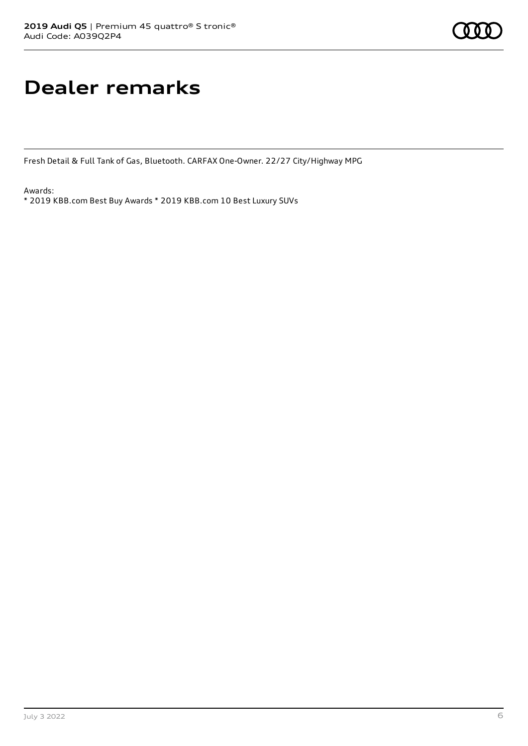## **Dealer remarks**

Fresh Detail & Full Tank of Gas, Bluetooth. CARFAX One-Owner. 22/27 City/Highway MPG

Awards:

\* 2019 KBB.com Best Buy Awards \* 2019 KBB.com 10 Best Luxury SUVs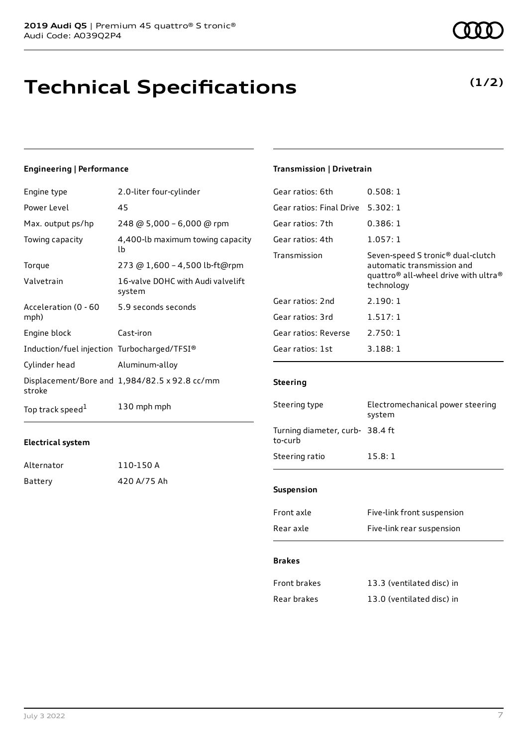## **Technical Specifications**

### **Engineering | Performance**

| Engine type                                 | 2.0-liter four-cylinder                       |
|---------------------------------------------|-----------------------------------------------|
| Power Level                                 | 45                                            |
| Max. output ps/hp                           | 248 @ 5,000 - 6,000 @ rpm                     |
| Towing capacity                             | 4,400-lb maximum towing capacity<br>lb        |
| Torque                                      | 273 @ 1,600 - 4,500 lb-ft@rpm                 |
| Valvetrain                                  | 16-valve DOHC with Audi valvelift<br>system   |
| Acceleration (0 - 60<br>mph)                | 5.9 seconds seconds                           |
| Engine block                                | Cast-iron                                     |
| Induction/fuel injection Turbocharged/TFSI® |                                               |
| Cylinder head                               | Aluminum-alloy                                |
| stroke                                      | Displacement/Bore and 1,984/82.5 x 92.8 cc/mm |
| Top track speed <sup>1</sup>                | 130 mph mph                                   |

### **Electrical system**

| Alternator | 110-150 A   |
|------------|-------------|
| Battery    | 420 A/75 Ah |

#### **Transmission | Drivetrain**

| Gear ratios: 6th         | 0.508:1                                                                                                                                                   |
|--------------------------|-----------------------------------------------------------------------------------------------------------------------------------------------------------|
| Gear ratios: Final Drive | 5.302:1                                                                                                                                                   |
| Gear ratios: 7th         | 0.386:1                                                                                                                                                   |
| Gear ratios: 4th         | 1.057:1                                                                                                                                                   |
| Transmission             | Seven-speed S tronic <sup>®</sup> dual-clutch<br>automatic transmission and<br>quattro <sup>®</sup> all-wheel drive with ultra <sup>®</sup><br>technology |
| Gear ratios: 2nd         | 2.190:1                                                                                                                                                   |
| Gear ratios: 3rd         | 1.517:1                                                                                                                                                   |
| Gear ratios: Reverse     | 2.750:1                                                                                                                                                   |
| Gear ratios: 1st         | 3.188:1                                                                                                                                                   |

### **Steering**

| Steering type                              | Electromechanical power steering<br>system |
|--------------------------------------------|--------------------------------------------|
| Turning diameter, curb- 38.4 ft<br>to-curb |                                            |
| Steering ratio                             | 15.8:1                                     |
| <b>Suspension</b>                          |                                            |
| Front axle                                 | Five-link front suspension                 |

| Rear axle | Five-link rear suspension |
|-----------|---------------------------|
|           |                           |

### **Brakes**

| Front brakes | 13.3 (ventilated disc) in |
|--------------|---------------------------|
| Rear brakes  | 13.0 (ventilated disc) in |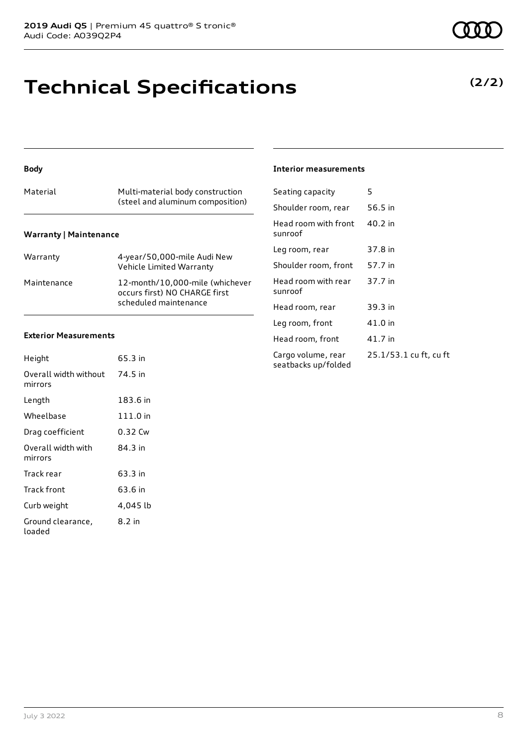### **Technical Specifications**

#### **Body**

| Material                      | Multi-material body construction<br>(steel and aluminum composition) |  |  |  |
|-------------------------------|----------------------------------------------------------------------|--|--|--|
| <b>Warranty   Maintenance</b> |                                                                      |  |  |  |

| Warranty    | 4-year/50,000-mile Audi New<br>Vehicle Limited Warranty                                   |
|-------------|-------------------------------------------------------------------------------------------|
| Maintenance | 12-month/10,000-mile (whichever<br>occurs first) NO CHARGE first<br>scheduled maintenance |

#### **Exterior Measurements**

| Height                           | 65.3 in  |
|----------------------------------|----------|
| Overall width without<br>mirrors | 74.5 in  |
| Length                           | 183.6 in |
| Wheelbase                        | 111.0 in |
| Drag coefficient                 | 0.32 Cw  |
| Overall width with<br>mirrors    | 84.3 in  |
| Track rear                       | 63.3 in  |
| Track front                      | 63.6 in  |
| Curb weight                      | 4,045 lb |
| Ground clearance,<br>loaded      | 8.2 in   |

#### **Interior measurements**

| Seating capacity                          | 5                      |
|-------------------------------------------|------------------------|
| Shoulder room, rear                       | 56.5 in                |
| Head room with front<br>sunroof           | 40.2 in                |
| Leg room, rear                            | 37.8 in                |
| Shoulder room, front                      | 57.7 in                |
| Head room with rear<br>sunroof            | 37.7 in                |
| Head room, rear                           | 39.3 in                |
| Leg room, front                           | 41.0 in                |
| Head room, front                          | 41.7 in                |
| Cargo volume, rear<br>seatbacks up/folded | 25.1/53.1 cu ft, cu ft |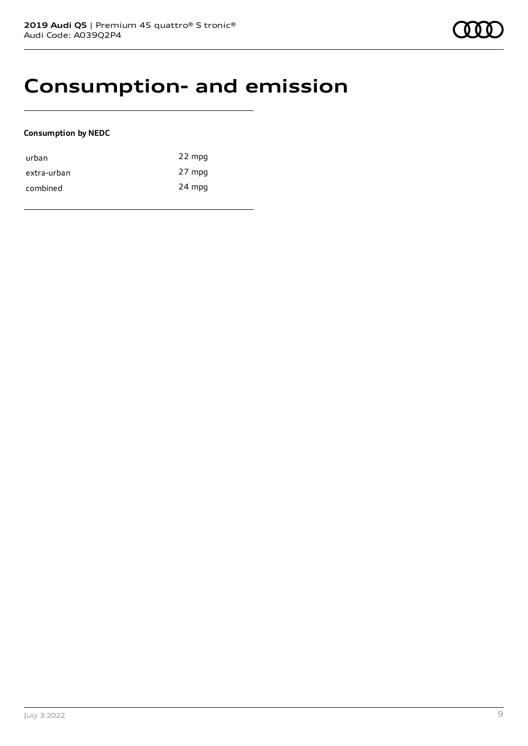### **Consumption- and emission**

### **Consumption by NEDC**

| urban       | 22 mpg |
|-------------|--------|
| extra-urban | 27 mpg |
| combined    | 24 mpg |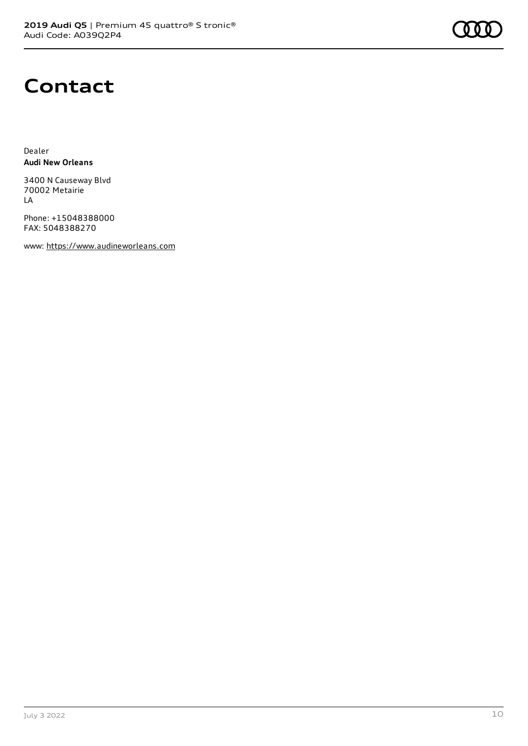

### **Contact**

Dealer **Audi New Orleans**

3400 N Causeway Blvd 70002 Metairie LA

Phone: +15048388000 FAX: 5048388270

www: [https://www.audineworleans.com](https://www.audineworleans.com/)